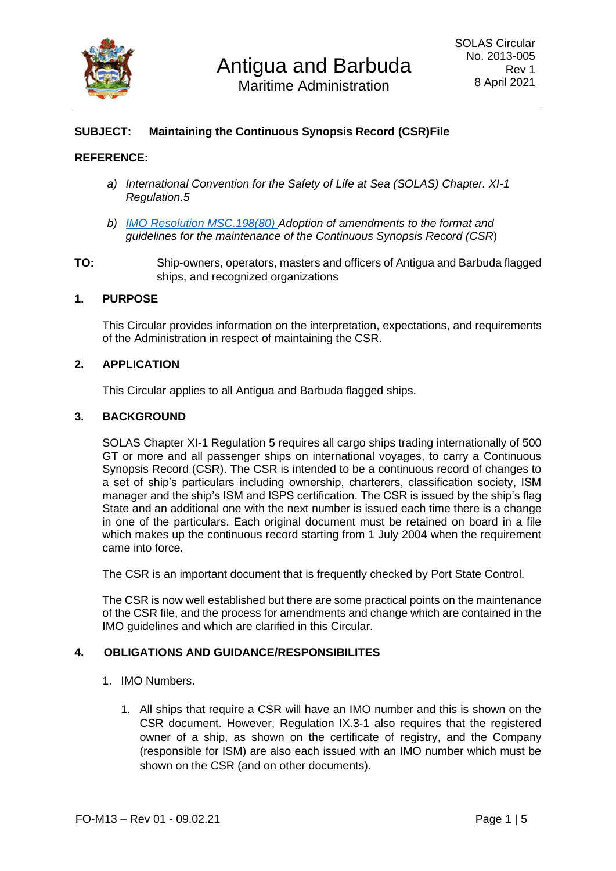

# **SUBJECT: Maintaining the Continuous Synopsis Record (CSR)File**

## **REFERENCE:**

- *a) International Convention for the Safety of Life at Sea (SOLAS) Chapter. XI-1 Regulation.5*
- *b) [IMO Resolution MSC.198\(80\) A](https://wwwcdn.imo.org/localresources/en/OurWork/Security/Documents/MSC.198(80).pdf)doption of amendments to the format and guidelines for the maintenance of the Continuous Synopsis Record (CSR*)
- **TO:** Ship-owners, operators, masters and officers of Antigua and Barbuda flagged ships, and recognized organizations

#### **1. PURPOSE**

This Circular provides information on the interpretation, expectations, and requirements of the Administration in respect of maintaining the CSR.

### **2. APPLICATION**

This Circular applies to all Antigua and Barbuda flagged ships.

#### **3. BACKGROUND**

SOLAS Chapter XI-1 Regulation 5 requires all cargo ships trading internationally of 500 GT or more and all passenger ships on international voyages, to carry a Continuous Synopsis Record (CSR). The CSR is intended to be a continuous record of changes to a set of ship's particulars including ownership, charterers, classification society, ISM manager and the ship's ISM and ISPS certification. The CSR is issued by the ship's flag State and an additional one with the next number is issued each time there is a change in one of the particulars. Each original document must be retained on board in a file which makes up the continuous record starting from 1 July 2004 when the requirement came into force.

The CSR is an important document that is frequently checked by Port State Control.

The CSR is now well established but there are some practical points on the maintenance of the CSR file, and the process for amendments and change which are contained in the IMO guidelines and which are clarified in this Circular.

### **4. OBLIGATIONS AND GUIDANCE/RESPONSIBILITES**

- 1. IMO Numbers.
	- 1. All ships that require a CSR will have an IMO number and this is shown on the CSR document. However, Regulation IX.3-1 also requires that the registered owner of a ship, as shown on the certificate of registry, and the Company (responsible for ISM) are also each issued with an IMO number which must be shown on the CSR (and on other documents).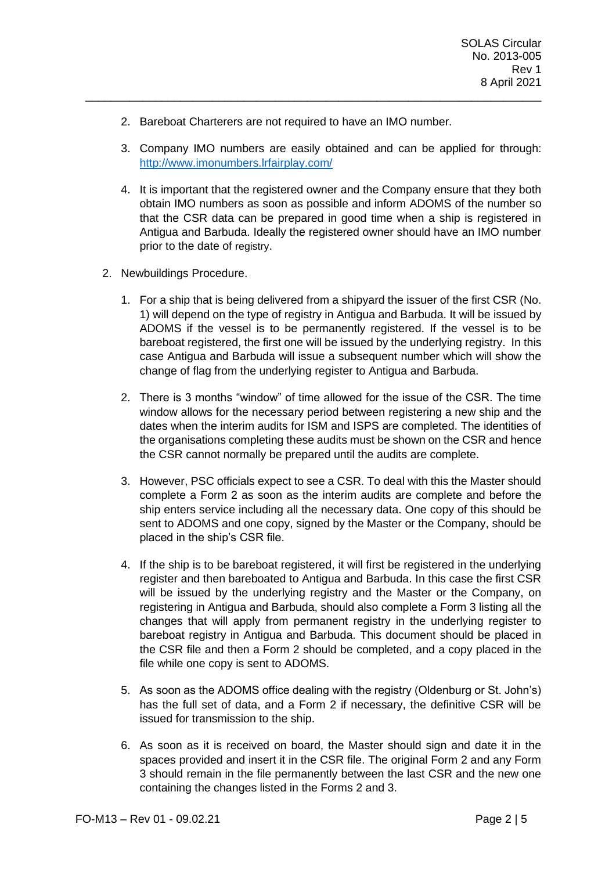- 2. Bareboat Charterers are not required to have an IMO number.
- 3. Company IMO numbers are easily obtained and can be applied for through: <http://www.imonumbers.lrfairplay.com/>

\_\_\_\_\_\_\_\_\_\_\_\_\_\_\_\_\_\_\_\_\_\_\_\_\_\_\_\_\_\_\_\_\_\_\_\_\_\_\_\_\_\_\_\_\_\_\_\_\_\_\_\_\_\_\_\_\_\_\_\_\_\_\_\_\_\_\_\_\_\_\_\_

- 4. It is important that the registered owner and the Company ensure that they both obtain IMO numbers as soon as possible and inform ADOMS of the number so that the CSR data can be prepared in good time when a ship is registered in Antigua and Barbuda. Ideally the registered owner should have an IMO number prior to the date of registry.
- 2. Newbuildings Procedure.
	- 1. For a ship that is being delivered from a shipyard the issuer of the first CSR (No. 1) will depend on the type of registry in Antigua and Barbuda. It will be issued by ADOMS if the vessel is to be permanently registered. If the vessel is to be bareboat registered, the first one will be issued by the underlying registry. In this case Antigua and Barbuda will issue a subsequent number which will show the change of flag from the underlying register to Antigua and Barbuda.
	- 2. There is 3 months "window" of time allowed for the issue of the CSR. The time window allows for the necessary period between registering a new ship and the dates when the interim audits for ISM and ISPS are completed. The identities of the organisations completing these audits must be shown on the CSR and hence the CSR cannot normally be prepared until the audits are complete.
	- 3. However, PSC officials expect to see a CSR. To deal with this the Master should complete a Form 2 as soon as the interim audits are complete and before the ship enters service including all the necessary data. One copy of this should be sent to ADOMS and one copy, signed by the Master or the Company, should be placed in the ship's CSR file.
	- 4. If the ship is to be bareboat registered, it will first be registered in the underlying register and then bareboated to Antigua and Barbuda. In this case the first CSR will be issued by the underlying registry and the Master or the Company, on registering in Antigua and Barbuda, should also complete a Form 3 listing all the changes that will apply from permanent registry in the underlying register to bareboat registry in Antigua and Barbuda. This document should be placed in the CSR file and then a Form 2 should be completed, and a copy placed in the file while one copy is sent to ADOMS.
	- 5. As soon as the ADOMS office dealing with the registry (Oldenburg or St. John's) has the full set of data, and a Form 2 if necessary, the definitive CSR will be issued for transmission to the ship.
	- 6. As soon as it is received on board, the Master should sign and date it in the spaces provided and insert it in the CSR file. The original Form 2 and any Form 3 should remain in the file permanently between the last CSR and the new one containing the changes listed in the Forms 2 and 3.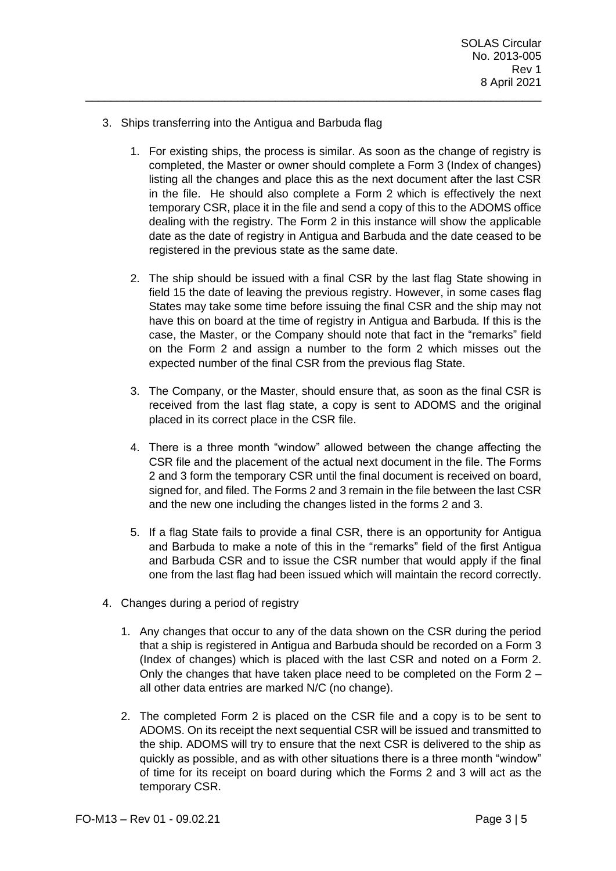- 3. Ships transferring into the Antigua and Barbuda flag
	- 1. For existing ships, the process is similar. As soon as the change of registry is completed, the Master or owner should complete a Form 3 (Index of changes) listing all the changes and place this as the next document after the last CSR in the file. He should also complete a Form 2 which is effectively the next temporary CSR, place it in the file and send a copy of this to the ADOMS office dealing with the registry. The Form 2 in this instance will show the applicable date as the date of registry in Antigua and Barbuda and the date ceased to be registered in the previous state as the same date.

\_\_\_\_\_\_\_\_\_\_\_\_\_\_\_\_\_\_\_\_\_\_\_\_\_\_\_\_\_\_\_\_\_\_\_\_\_\_\_\_\_\_\_\_\_\_\_\_\_\_\_\_\_\_\_\_\_\_\_\_\_\_\_\_\_\_\_\_\_\_\_\_

- 2. The ship should be issued with a final CSR by the last flag State showing in field 15 the date of leaving the previous registry. However, in some cases flag States may take some time before issuing the final CSR and the ship may not have this on board at the time of registry in Antigua and Barbuda. If this is the case, the Master, or the Company should note that fact in the "remarks" field on the Form 2 and assign a number to the form 2 which misses out the expected number of the final CSR from the previous flag State.
- 3. The Company, or the Master, should ensure that, as soon as the final CSR is received from the last flag state, a copy is sent to ADOMS and the original placed in its correct place in the CSR file.
- 4. There is a three month "window" allowed between the change affecting the CSR file and the placement of the actual next document in the file. The Forms 2 and 3 form the temporary CSR until the final document is received on board, signed for, and filed. The Forms 2 and 3 remain in the file between the last CSR and the new one including the changes listed in the forms 2 and 3.
- 5. If a flag State fails to provide a final CSR, there is an opportunity for Antigua and Barbuda to make a note of this in the "remarks" field of the first Antigua and Barbuda CSR and to issue the CSR number that would apply if the final one from the last flag had been issued which will maintain the record correctly.
- 4. Changes during a period of registry
	- 1. Any changes that occur to any of the data shown on the CSR during the period that a ship is registered in Antigua and Barbuda should be recorded on a Form 3 (Index of changes) which is placed with the last CSR and noted on a Form 2. Only the changes that have taken place need to be completed on the Form 2 – all other data entries are marked N/C (no change).
	- 2. The completed Form 2 is placed on the CSR file and a copy is to be sent to ADOMS. On its receipt the next sequential CSR will be issued and transmitted to the ship. ADOMS will try to ensure that the next CSR is delivered to the ship as quickly as possible, and as with other situations there is a three month "window" of time for its receipt on board during which the Forms 2 and 3 will act as the temporary CSR.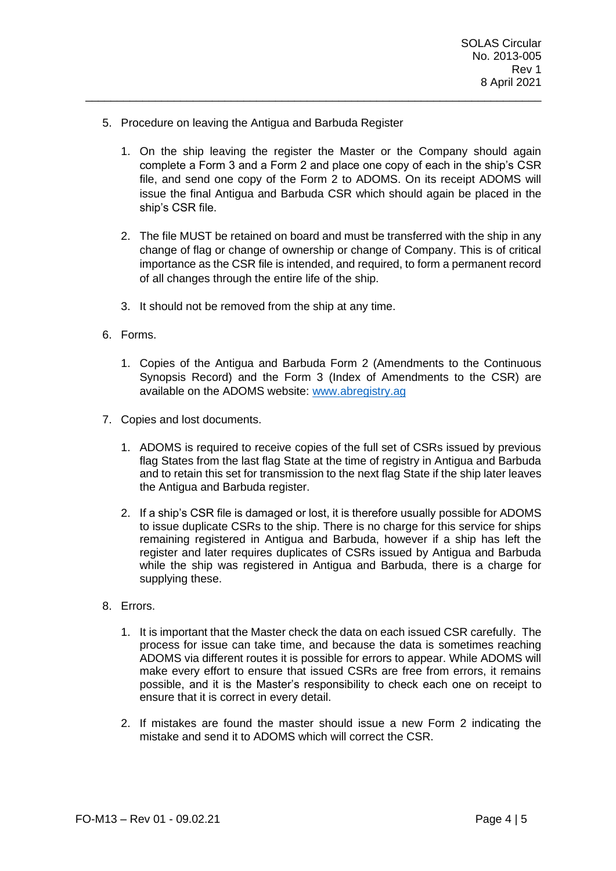- 5. Procedure on leaving the Antigua and Barbuda Register
	- 1. On the ship leaving the register the Master or the Company should again complete a Form 3 and a Form 2 and place one copy of each in the ship's CSR file, and send one copy of the Form 2 to ADOMS. On its receipt ADOMS will issue the final Antigua and Barbuda CSR which should again be placed in the ship's CSR file.

\_\_\_\_\_\_\_\_\_\_\_\_\_\_\_\_\_\_\_\_\_\_\_\_\_\_\_\_\_\_\_\_\_\_\_\_\_\_\_\_\_\_\_\_\_\_\_\_\_\_\_\_\_\_\_\_\_\_\_\_\_\_\_\_\_\_\_\_\_\_\_\_

- 2. The file MUST be retained on board and must be transferred with the ship in any change of flag or change of ownership or change of Company. This is of critical importance as the CSR file is intended, and required, to form a permanent record of all changes through the entire life of the ship.
- 3. It should not be removed from the ship at any time.
- 6. Forms.
	- 1. Copies of the Antigua and Barbuda Form 2 (Amendments to the Continuous Synopsis Record) and the Form 3 (Index of Amendments to the CSR) are available on the ADOMS website: [www.abregistry.ag](http://www.abregistry.ag/)
- 7. Copies and lost documents.
	- 1. ADOMS is required to receive copies of the full set of CSRs issued by previous flag States from the last flag State at the time of registry in Antigua and Barbuda and to retain this set for transmission to the next flag State if the ship later leaves the Antigua and Barbuda register.
	- 2. If a ship's CSR file is damaged or lost, it is therefore usually possible for ADOMS to issue duplicate CSRs to the ship. There is no charge for this service for ships remaining registered in Antigua and Barbuda, however if a ship has left the register and later requires duplicates of CSRs issued by Antigua and Barbuda while the ship was registered in Antigua and Barbuda, there is a charge for supplying these.
- 8. Errors.
	- 1. It is important that the Master check the data on each issued CSR carefully. The process for issue can take time, and because the data is sometimes reaching ADOMS via different routes it is possible for errors to appear. While ADOMS will make every effort to ensure that issued CSRs are free from errors, it remains possible, and it is the Master's responsibility to check each one on receipt to ensure that it is correct in every detail.
	- 2. If mistakes are found the master should issue a new Form 2 indicating the mistake and send it to ADOMS which will correct the CSR.